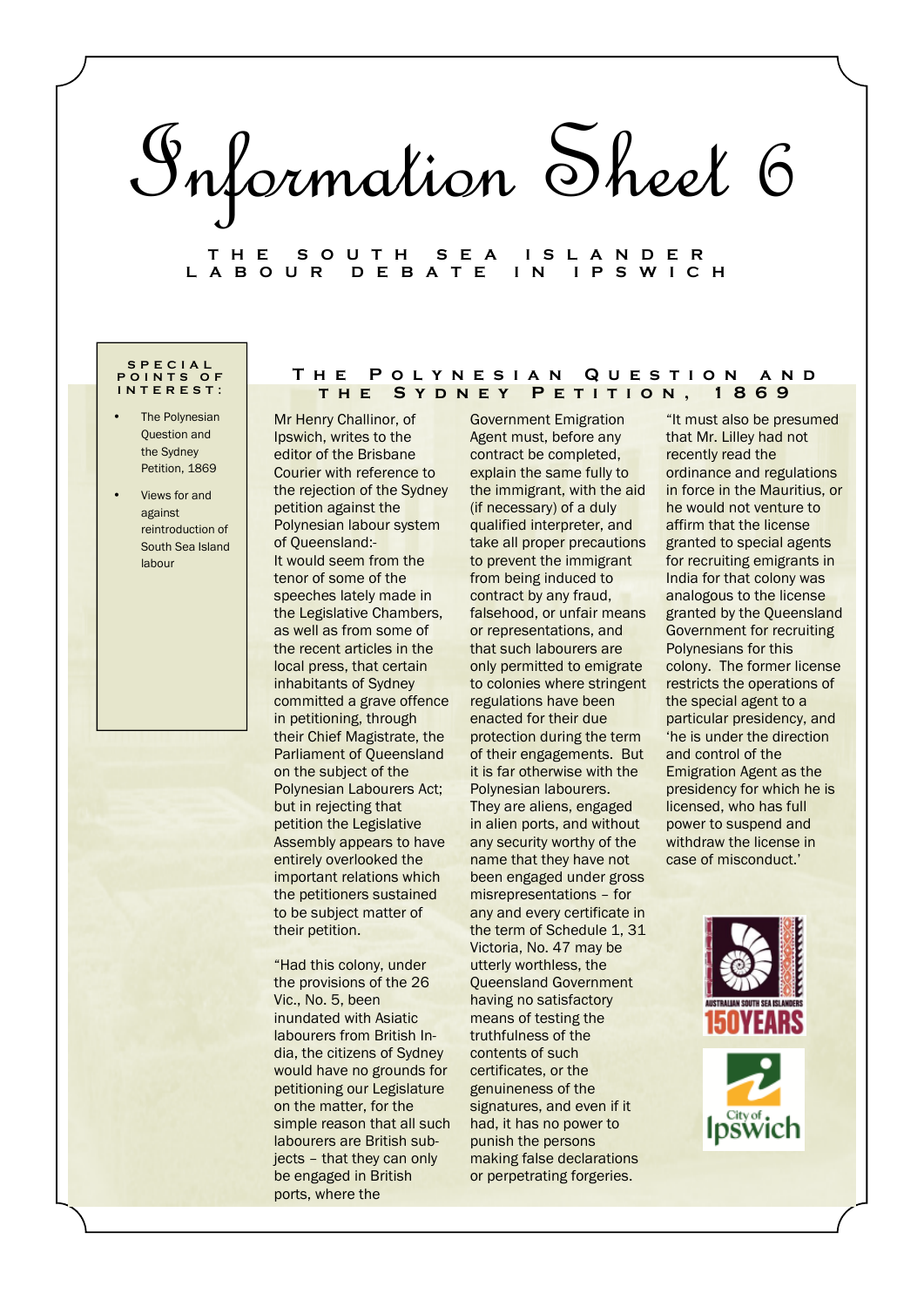# Information Sheet 6

# **T H E S O U T H S E A I S L A N D E R L A B O U R D E B A T E I N I P S W I C H**

## **S P E C I A L P O I N T S O F I N T E R E S T :**

- The Polynesian Question and the Sydney Petition, 1869
- Views for and against reintroduction of South Sea Island labour

Mr Henry Challinor, of Ipswich, writes to the editor of the Brisbane Courier with reference to the rejection of the Sydney petition against the Polynesian labour system of Queensland:- It would seem from the tenor of some of the speeches lately made in the Legislative Chambers, as well as from some of the recent articles in the local press, that certain inhabitants of Sydney committed a grave offence in petitioning, through their Chief Magistrate, the Parliament of Queensland on the subject of the Polynesian Labourers Act; but in rejecting that petition the Legislative Assembly appears to have entirely overlooked the important relations which the petitioners sustained to be subject matter of their petition.

"Had this colony, under the provisions of the 26 Vic., No. 5, been inundated with Asiatic labourers from British India, the citizens of Sydney would have no grounds for petitioning our Legislature on the matter, for the simple reason that all such labourers are British subjects – that they can only be engaged in British ports, where the

Government Emigration Agent must, before any contract be completed, explain the same fully to the immigrant, with the aid (if necessary) of a duly qualified interpreter, and take all proper precautions to prevent the immigrant from being induced to contract by any fraud, falsehood, or unfair means or representations, and that such labourers are only permitted to emigrate to colonies where stringent regulations have been enacted for their due protection during the term of their engagements. But it is far otherwise with the Polynesian labourers. They are aliens, engaged in alien ports, and without any security worthy of the name that they have not been engaged under gross misrepresentations – for any and every certificate in the term of Schedule 1, 31 Victoria, No. 47 may be utterly worthless, the Queensland Government having no satisfactory means of testing the truthfulness of the contents of such certificates, or the genuineness of the signatures, and even if it had, it has no power to punish the persons making false declarations or perpetrating forgeries.

**T h e P o l y n e s i a n Q u e s t i o n a n d t h e S y d n e y P e t i t i o n , 1 8 6 9** 

> "It must also be presumed that Mr. Lilley had not recently read the ordinance and regulations in force in the Mauritius, or he would not venture to affirm that the license granted to special agents for recruiting emigrants in India for that colony was analogous to the license granted by the Queensland Government for recruiting Polynesians for this colony. The former license restricts the operations of the special agent to a particular presidency, and 'he is under the direction and control of the Emigration Agent as the presidency for which he is licensed, who has full power to suspend and withdraw the license in case of misconduct.'

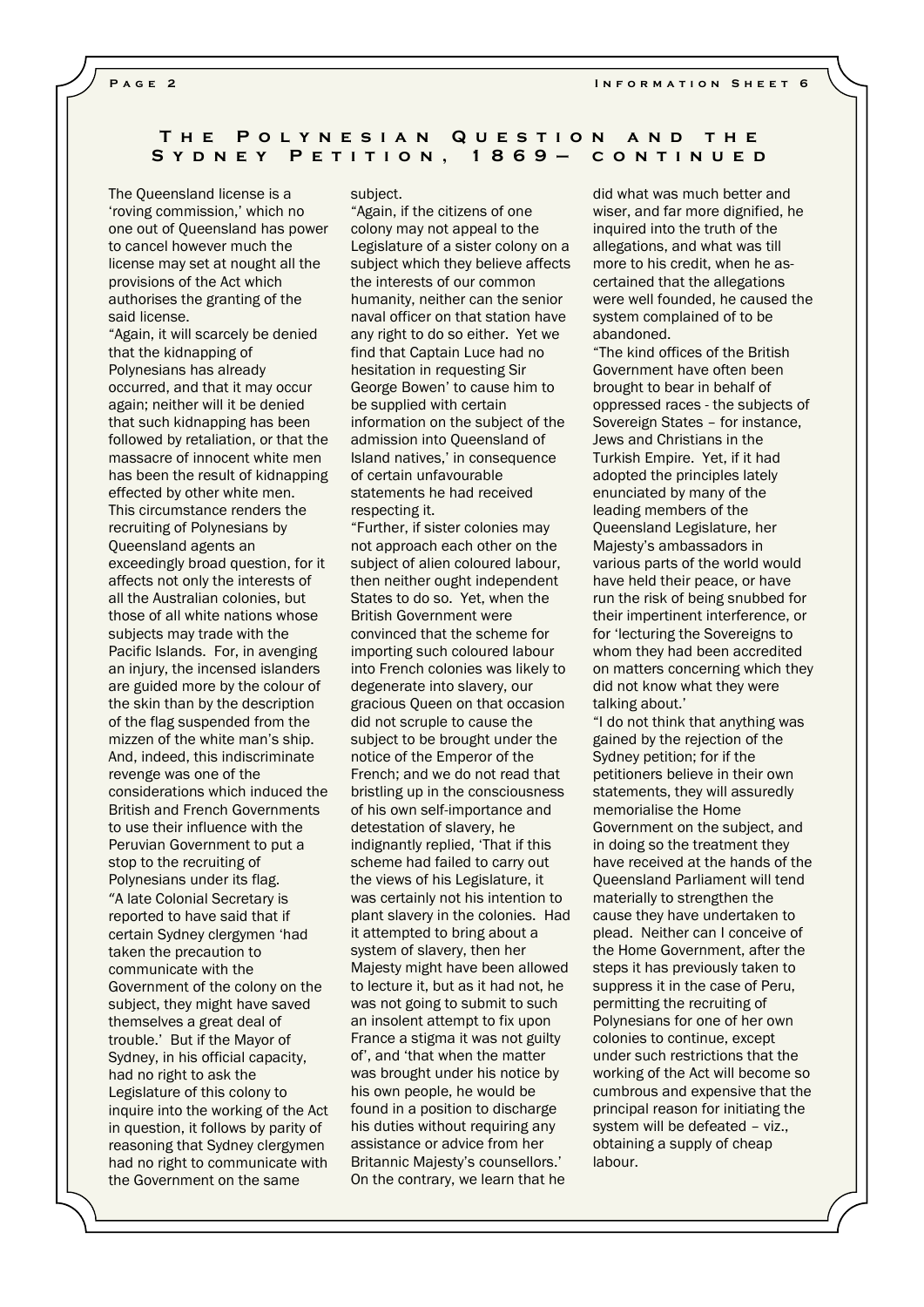# **T h e P o l y n e s i a n Q u e s t i o n a n d t h e**  S Y D N E Y P E T I T I O N , 1 8 6 9 - C O N T I N U E D

The Queensland license is a 'roving commission,' which no one out of Queensland has power to cancel however much the license may set at nought all the provisions of the Act which authorises the granting of the said license.

"Again, it will scarcely be denied that the kidnapping of Polynesians has already occurred, and that it may occur again; neither will it be denied that such kidnapping has been followed by retaliation, or that the massacre of innocent white men has been the result of kidnapping effected by other white men. This circumstance renders the recruiting of Polynesians by Queensland agents an exceedingly broad question, for it affects not only the interests of all the Australian colonies, but those of all white nations whose subjects may trade with the Pacific Islands. For, in avenging an injury, the incensed islanders are guided more by the colour of the skin than by the description of the flag suspended from the mizzen of the white man's ship. And, indeed, this indiscriminate revenge was one of the considerations which induced the British and French Governments to use their influence with the Peruvian Government to put a stop to the recruiting of Polynesians under its flag. "A late Colonial Secretary is reported to have said that if certain Sydney clergymen 'had taken the precaution to communicate with the Government of the colony on the subject, they might have saved themselves a great deal of trouble.' But if the Mayor of Sydney, in his official capacity, had no right to ask the Legislature of this colony to inquire into the working of the Act in question, it follows by parity of reasoning that Sydney clergymen had no right to communicate with the Government on the same

# subject.

"Again, if the citizens of one colony may not appeal to the Legislature of a sister colony on a subject which they believe affects the interests of our common humanity, neither can the senior naval officer on that station have any right to do so either. Yet we find that Captain Luce had no hesitation in requesting Sir George Bowen' to cause him to be supplied with certain information on the subject of the admission into Queensland of Island natives,' in consequence of certain unfavourable statements he had received respecting it.

"Further, if sister colonies may not approach each other on the subject of alien coloured labour, then neither ought independent States to do so. Yet, when the British Government were convinced that the scheme for importing such coloured labour into French colonies was likely to degenerate into slavery, our gracious Queen on that occasion did not scruple to cause the subject to be brought under the notice of the Emperor of the French; and we do not read that bristling up in the consciousness of his own self-importance and detestation of slavery, he indignantly replied, 'That if this scheme had failed to carry out the views of his Legislature, it was certainly not his intention to plant slavery in the colonies. Had it attempted to bring about a system of slavery, then her Majesty might have been allowed to lecture it, but as it had not, he was not going to submit to such an insolent attempt to fix upon France a stigma it was not guilty of', and 'that when the matter was brought under his notice by his own people, he would be found in a position to discharge his duties without requiring any assistance or advice from her Britannic Majesty's counsellors.' On the contrary, we learn that he

did what was much better and wiser, and far more dignified, he inquired into the truth of the allegations, and what was till more to his credit, when he ascertained that the allegations were well founded, he caused the system complained of to be abandoned.

"The kind offices of the British Government have often been brought to bear in behalf of oppressed races - the subjects of Sovereign States – for instance, Jews and Christians in the Turkish Empire. Yet, if it had adopted the principles lately enunciated by many of the leading members of the Queensland Legislature, her Majesty's ambassadors in various parts of the world would have held their peace, or have run the risk of being snubbed for their impertinent interference, or for 'lecturing the Sovereigns to whom they had been accredited on matters concerning which they did not know what they were talking about.'

"I do not think that anything was gained by the rejection of the Sydney petition; for if the petitioners believe in their own statements, they will assuredly memorialise the Home Government on the subject, and in doing so the treatment they have received at the hands of the Queensland Parliament will tend materially to strengthen the cause they have undertaken to plead. Neither can I conceive of the Home Government, after the steps it has previously taken to suppress it in the case of Peru, permitting the recruiting of Polynesians for one of her own colonies to continue, except under such restrictions that the working of the Act will become so cumbrous and expensive that the principal reason for initiating the system will be defeated – viz., obtaining a supply of cheap labour.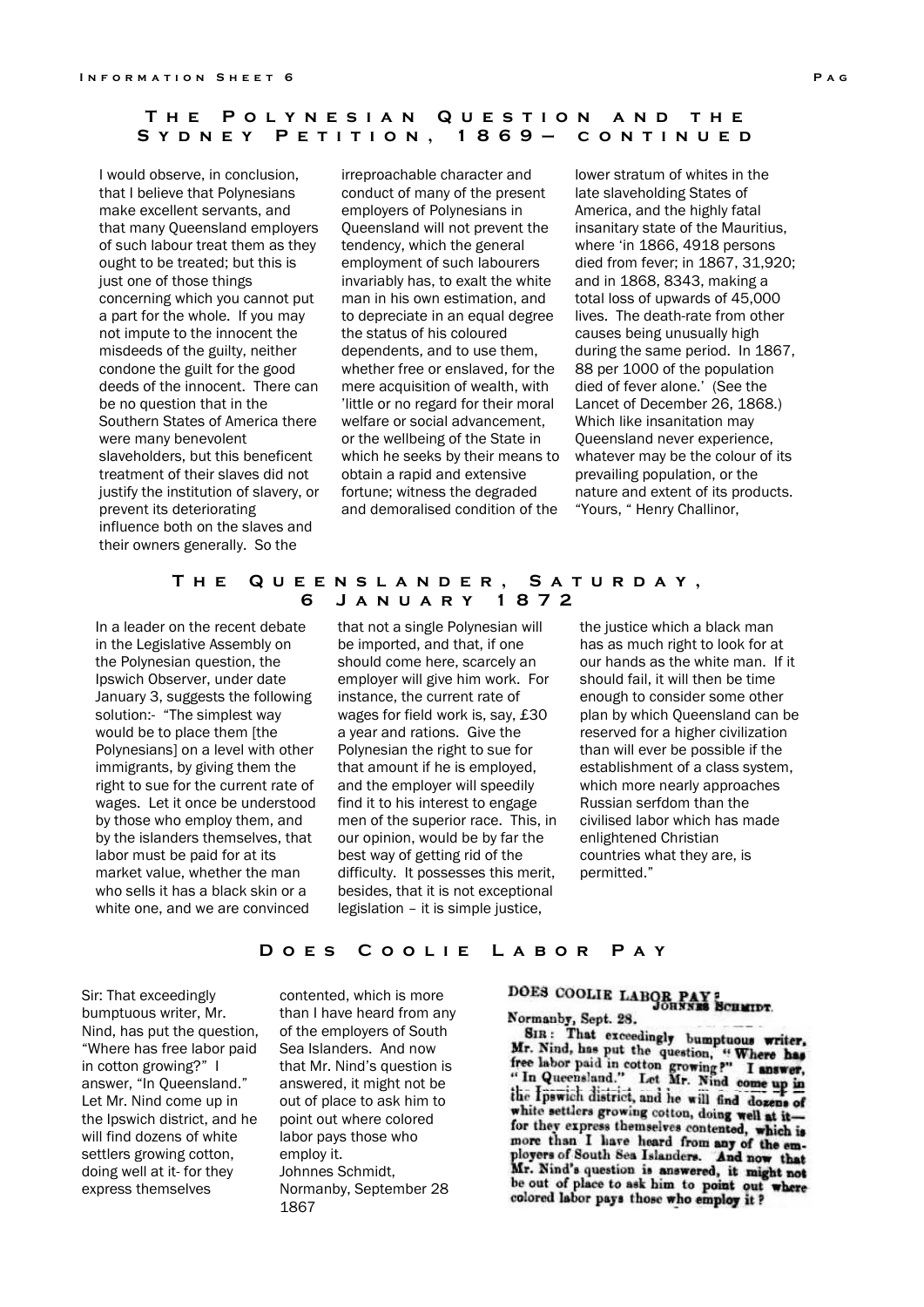# **T h e P o l y n e s i a n Q u e s t i o n a n d t h e**  SYDNEY PETITION, 1869- CONTINUED

I would observe, in conclusion, that I believe that Polynesians make excellent servants, and that many Queensland employers of such labour treat them as they ought to be treated; but this is just one of those things concerning which you cannot put a part for the whole. If you may not impute to the innocent the misdeeds of the guilty, neither condone the guilt for the good deeds of the innocent. There can be no question that in the Southern States of America there were many benevolent slaveholders, but this beneficent treatment of their slaves did not justify the institution of slavery, or prevent its deteriorating influence both on the slaves and their owners generally. So the

irreproachable character and conduct of many of the present employers of Polynesians in Queensland will not prevent the tendency, which the general employment of such labourers invariably has, to exalt the white man in his own estimation, and to depreciate in an equal degree the status of his coloured dependents, and to use them, whether free or enslaved, for the mere acquisition of wealth, with 'little or no regard for their moral welfare or social advancement, or the wellbeing of the State in which he seeks by their means to obtain a rapid and extensive fortune; witness the degraded and demoralised condition of the

lower stratum of whites in the late slaveholding States of America, and the highly fatal insanitary state of the Mauritius, where 'in 1866, 4918 persons died from fever; in 1867, 31,920; and in 1868, 8343, making a total loss of upwards of 45,000 lives. The death-rate from other causes being unusually high during the same period. In 1867, 88 per 1000 of the population died of fever alone.' (See the Lancet of December 26, 1868.) Which like insanitation may Queensland never experience, whatever may be the colour of its prevailing population, or the nature and extent of its products. "Yours, " Henry Challinor,

# **T h e Q u e e n s l a n d e r , S a t u r d a y , 6 J a n u a r y 1 8 7 2**

In a leader on the recent debate in the Legislative Assembly on the Polynesian question, the Ipswich Observer, under date January 3, suggests the following solution:- "The simplest way would be to place them [the Polynesians] on a level with other immigrants, by giving them the right to sue for the current rate of wages. Let it once be understood by those who employ them, and by the islanders themselves, that labor must be paid for at its market value, whether the man who sells it has a black skin or a white one, and we are convinced

that not a single Polynesian will be imported, and that, if one should come here, scarcely an employer will give him work. For instance, the current rate of wages for field work is, say, £30 a year and rations. Give the Polynesian the right to sue for that amount if he is employed, and the employer will speedily find it to his interest to engage men of the superior race. This, in our opinion, would be by far the best way of getting rid of the difficulty. It possesses this merit, besides, that it is not exceptional legislation – it is simple justice,

the justice which a black man has as much right to look for at our hands as the white man. If it should fail, it will then be time enough to consider some other plan by which Queensland can be reserved for a higher civilization than will ever be possible if the establishment of a class system, which more nearly approaches Russian serfdom than the civilised labor which has made enlightened Christian countries what they are, is permitted."

# **DOES COOLIE LABOR PAY**

Sir: That exceedingly bumptuous writer, Mr. Nind, has put the question, "Where has free labor paid in cotton growing?" I answer, "In Queensland." Let Mr. Nind come up in the Ipswich district, and he will find dozens of white settlers growing cotton, doing well at it- for they express themselves

contented, which is more than I have heard from any of the employers of South Sea Islanders. And now that Mr. Nind's question is answered, it might not be out of place to ask him to point out where colored labor pays those who employ it. Johnnes Schmidt, Normanby, September 28 1867

# DOES COOLIE LABOR PAY :

# Normanby, Sept. 28.

SIR: That exceedingly bumptuous writer,<br>Ir. Nind, has put the question if When he SIR: That exceedingly bumptuous writer,<br>Mr. Nind, has put the question, "Where has<br>free labor paid in cotton growing?" I answer,<br>"In Queensland." Let Mr. Nind come up in<br>the Famila diriginal in the Mr. the Ipswich district, and he will find dozens of white settlers growing cotton, doing well at itfor they express themselves contented, which is nore than I have heard from any of the employers of South Sea Islanders. And now that<br>Mr. Nind's question is answered, it might not be out of place to ask him to point out where colored labor pays those who employ it ?